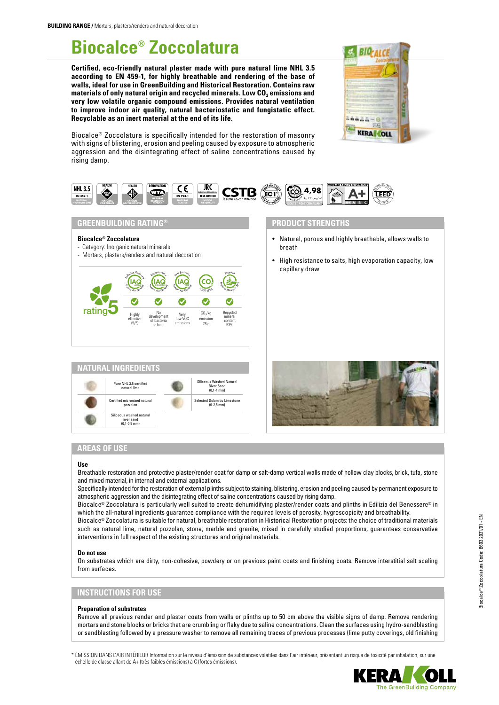# **Biocalce® Zoccolatura**

**Certified, eco-friendly natural plaster made with pure natural lime NHL 3.5 according to EN 459-1, for highly breathable and rendering of the base of walls, ideal for use in GreenBuilding and Historical Restoration. Contains raw**  materials of only natural origin and recycled minerals. Low CO<sub>2</sub> emissions and **very low volatile organic compound emissions. Provides natural ventilation to improve indoor air quality, natural bacteriostatic and fungistatic effect. Recyclable as an inert material at the end of its life.**



Biocalce® Zoccolatura is specifically intended for the restoration of masonry with signs of blistering, erosion and peeling caused by exposure to atmospheric aggression and the disintegrating effect of saline concentrations caused by rising damp.



## **GREENBUILDING RATING®**

#### **Biocalce® Zoccolatura**

- Category: Inorganic natural minerals
- Mortars, plasters/renders and natural decoration





## **PRODUCT STRENGTHS**

- Natural, porous and highly breathable, allows walls to breath
- High resistance to salts, high evaporation capacity, low capillary draw



## **AREAS OF USE**

#### **Use**

Breathable restoration and protective plaster/render coat for damp or salt-damp vertical walls made of hollow clay blocks, brick, tufa, stone and mixed material, in internal and external applications.

Specifically intended for the restoration of external plinths subject to staining, blistering, erosion and peeling caused by permanent exposure to atmospheric aggression and the disintegrating effect of saline concentrations caused by rising damp.

Biocalce® Zoccolatura is particularly well suited to create dehumidifying plaster/render coats and plinths in Edilizia del Benessere® in which the all-natural ingredients guarantee compliance with the required levels of porosity, hygroscopicity and breathability.

Biocalce® Zoccolatura is suitable for natural, breathable restoration in Historical Restoration projects: the choice of traditional materials such as natural lime, natural pozzolan, stone, marble and granite, mixed in carefully studied proportions, guarantees conservative interventions in full respect of the existing structures and original materials.

#### **Do not use**

On substrates which are dirty, non-cohesive, powdery or on previous paint coats and finishing coats. Remove interstitial salt scaling from surfaces.

## **INSTRUCTIONS FOR USE**

#### **Preparation of substrates**

Remove all previous render and plaster coats from walls or plinths up to 50 cm above the visible signs of damp. Remove rendering mortars and stone blocks or bricks that are crumbling or flaky due to saline concentrations. Clean the surfaces using hydro-sandblasting or sandblasting followed by a pressure washer to remove all remaining traces of previous processes (lime putty coverings, old finishing

\* ÉMISSION DANS L'AIR INTÉRIEUR Information sur le niveau d'émission de substances volatiles dans l'air intérieur, présentant un risque de toxicité par inhalation, sur une échelle de classe allant de A+ (très faibles émissions) à C (fortes émissions).



he GreenBuilding Company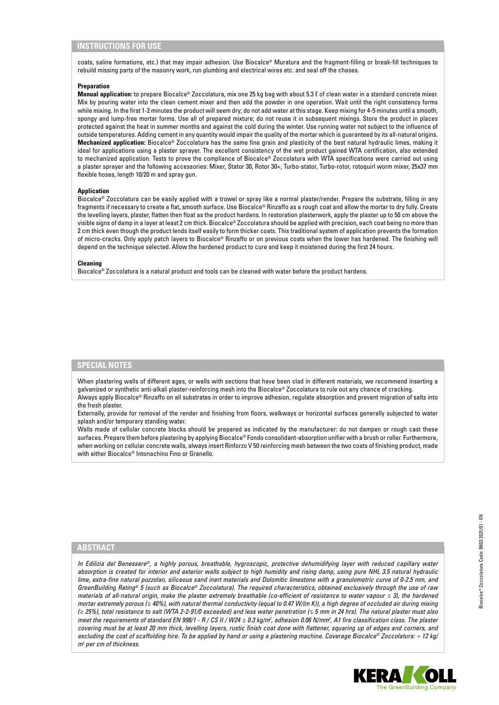## **INSTRUCTIONS FOR USE**

coats, saline formations, etc.) that may impair adhesion. Use Biocalce® Muratura and the fragment-filling or break-fill techniques to rebuild missing parts of the masonry work, run plumbing and electrical wires etc. and seal off the chases.

#### **Preparation**

**Manual application:** to prepare Biocalce® Zoccolatura, mix one 25 kg bag with about 5.3 ℓ of clean water in a standard concrete mixer. Mix by pouring water into the clean cement mixer and then add the powder in one operation. Wait until the right consistency forms while mixing. In the first 1-2 minutes the product will seem dry; do not add water at this stage. Keep mixing for 4-5 minutes until a smooth, spongy and lump-free mortar forms. Use all of prepared mixture; do not reuse it in subsequent mixings. Store the product in places protected against the heat in summer months and against the cold during the winter. Use running water not subject to the influence of outside temperatures. Adding cement in any quantity would impair the quality of the mortar which is guaranteed by its all-natural origins. **Mechanized application:** Biocalce® Zoccolatura has the same fine grain and plasticity of the best natural hydraulic limes, making it ideal for applications using a plaster sprayer. The excellent consistency of the wet product gained WTA certification, also extended to mechanized application. Tests to prove the compliance of Biocalce® Zoccolatura with WTA specifications were carried out using a plaster sprayer and the following accessories: Mixer, Stator 30, Rotor 30+, Turbo-stator, Turbo-rotor, rotoquirl worm mixer, 25x37 mm flexible hoses, length 10/20 m and spray gun.

#### **Application**

Biocalce® Zoccolatura can be easily applied with a trowel or spray like a normal plaster/render. Prepare the substrate, filling in any fragments if necessary to create a flat, smooth surface. Use Biocalce® Rinzaffo as a rough coat and allow the mortar to dry fully. Create the levelling layers, plaster, flatten then float as the product hardens. In restoration plasterwork, apply the plaster up to 50 cm above the visible signs of damp in a layer at least 2 cm thick. Biocalce® Zoccolatura should be applied with precision, each coat being no more than 2 cm thick even though the product lends itself easily to form thicker coats. This traditional system of application prevents the formation of micro-cracks. Only apply patch layers to Biocalce® Rinzaffo or on previous coats when the lower has hardened. The finishing will depend on the technique selected. Allow the hardened product to cure and keep it moistened during the first 24 hours.

#### **Cleaning**

Biocalce® Zoccolatura is a natural product and tools can be cleaned with water before the product hardens.

### **SPECIAL NOTES**

When plastering walls of different ages, or walls with sections that have been clad in different materials, we recommend inserting a galvanized or synthetic anti-alkali plaster-reinforcing mesh into the Biocalce® Zoccolatura to rule out any chance of cracking. Always apply Biocalce® Rinzaffo on all substrates in order to improve adhesion, regulate absorption and prevent migration of salts into the fresh plaster.

Externally, provide for removal of the render and finishing from floors, walkways or horizontal surfaces generally subjected to water splash and/or temporary standing water.

Walls made of cellular concrete blocks should be prepared as indicated by the manufacturer: do not dampen or rough cast these surfaces. Prepare them before plastering by applying Biocalce® Fondo consolidant-absorption unifier with a brush or roller. Furthermore, when working on cellular concrete walls, always insert Rinforzo V 50 reinforcing mesh between the two coats of finishing product, made with either Biocalce® Intonachino Fino or Granello.

## **ABSTRACT**

*In Edilizia del Benessere®, a highly porous, breathable, hygroscopic, protective dehumidifying layer with reduced capillary water absorption is created for interior and exterior walls subject to high humidity and rising damp, using pure NHL 3.5 natural hydraulic lime, extra-fine natural pozzolan, siliceous sand inert materials and Dolomitic limestone with a granulometric curve of 0-2.5 mm, and GreenBuilding Rating® 5 (such as Biocalce® Zoccolatura). The required characteristics, obtained exclusively through the use of raw materials of all-natural origin, make the plaster extremely breathable (co-efficient of resistance to water vapour ≤ 3), the hardened mortar extremely porous (≥ 40%), with natural thermal conductivity (equal to 0.47 W/(m K)), a high degree of occluded air during mixing (≥ 25%), total resistance to salt (WTA 2-2-91/0 exceeded) and less water penetration (≤ 5 mm in 24 hrs). The natural plaster must also*  meet the requirements of standard EN 998/1 - R / CS II / W24 ≥ 0.3 kg/m<sup>2</sup>, adhesion 0.06 N/mm<sup>2</sup>, A1 fire classification class. The plaster *covering must be at least 20 mm thick, levelling layers, rustic finish coat done with flattener, squaring up of edges and corners, and excluding the cost of scaffolding hire. To be applied by hand or using a plastering machine. Coverage Biocalce® Zoccolatura: ≈ 12 kg/ m2 per cm of thickness.*

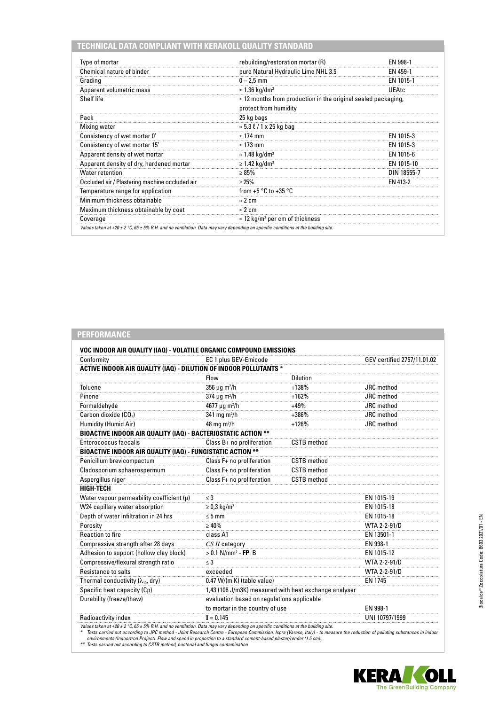## **TECHNICAL DATA COMPLIANT WITH KERAKOLL QUALITY STANDARD**

| Type of mortar                                 | rebuilding/restoration mortar (R)                                                              | FN 998-1    |  |
|------------------------------------------------|------------------------------------------------------------------------------------------------|-------------|--|
| Chemical nature of binder                      | pure Natural Hydraulic Lime NHL 3.5                                                            | EN 459-1    |  |
| Grading                                        | $0 - 2.5$ mm                                                                                   | EN 1015-1   |  |
| Apparent volumetric mass                       | $\approx$ 1.36 kg/dm <sup>3</sup>                                                              | UEAtc       |  |
| Shelf life                                     | $\approx$ 12 months from production in the original sealed packaging,<br>protect from humidity |             |  |
| Pack                                           | 25 kg bags                                                                                     |             |  |
| Mixing water                                   | $\approx$ 5.3 $\ell$ / 1 x 25 kg bag                                                           |             |  |
| Consistency of wet mortar 0'                   | $\approx$ 174 mm                                                                               | EN 1015-3   |  |
| Consistency of wet mortar 15'                  | $\approx$ 173 mm                                                                               | EN 1015-3   |  |
| Apparent density of wet mortar                 | $\approx$ 1.48 kg/dm <sup>3</sup>                                                              | EN 1015-6   |  |
| Apparent density of dry, hardened mortar       | $\geq$ 1.42 kg/dm <sup>3</sup>                                                                 | EN 1015-10  |  |
| <b>Water retention</b>                         | $\geq 85\%$                                                                                    | DIN 18555-7 |  |
| Occluded air / Plastering machine occluded air | >25%                                                                                           | FN 413-2    |  |
| Temperature range for application              | from $+5$ °C to $+35$ °C                                                                       |             |  |
| Minimum thickness obtainable                   | $\approx$ 2 cm                                                                                 |             |  |
| Maximum thickness obtainable by coat           | $\approx$ 2 cm                                                                                 |             |  |
| Coverage                                       | $\approx$ 12 kg/m <sup>2</sup> per cm of thickness                                             |             |  |

# **PERFORMANCE**

| Conformity                                                             | EC 1 plus GEV-Emicode                                 |                    | GEV certified 2757/11.01.02 |  |
|------------------------------------------------------------------------|-------------------------------------------------------|--------------------|-----------------------------|--|
| ACTIVE INDOOR AIR QUALITY (IAQ) - DILUTION OF INDOOR POLLUTANTS *      |                                                       |                    |                             |  |
|                                                                        | Flow                                                  | <b>Dilution</b>    |                             |  |
| Toluene                                                                | $356 \mu g$ m <sup>2</sup> /h                         | $+138%$            | JRC method                  |  |
| Pinene                                                                 | $374 \mu g \, m^2/h$                                  | $+162%$            | JRC method                  |  |
| Formaldehyde                                                           | 4677 μg m <sup>2</sup> /h                             | $+49%$             | JRC method                  |  |
| Carbon dioxide (CO <sub>2</sub> )                                      | 341 mg m <sup>2</sup> /h                              | $+386%$            | JRC method                  |  |
| Humidity (Humid Air)                                                   | 48 mg m <sup>2</sup> /h                               | $+126%$            | JRC method                  |  |
| <b>BIOACTIVE INDOOR AIR QUALITY (IAQ) - BACTERIOSTATIC ACTION **</b>   |                                                       |                    |                             |  |
| Enterococcus faecalis                                                  | Class B+ no proliferation                             | <b>CSTB</b> method |                             |  |
| <b>BIOACTIVE INDOOR AIR QUALITY (IAQ) - FUNGISTATIC ACTION **</b>      |                                                       |                    |                             |  |
| Penicillum brevicompactum                                              | Class F+ no proliferation                             | <b>CSTB</b> method |                             |  |
| Cladosporium sphaerospermum                                            | Class F+ no proliferation                             | <b>CSTB</b> method |                             |  |
| Aspergillus niger                                                      | Class F+ no proliferation                             | <b>CSTB</b> method |                             |  |
| <b>HIGH-TECH</b>                                                       |                                                       |                    |                             |  |
| Water vapour permeability coefficient $(\mu)$                          | $\leq$ 3                                              |                    | EN 1015-19                  |  |
| W24 capillary water absorption                                         | $\geq 0.3$ kg/m <sup>2</sup>                          |                    | EN 1015-18                  |  |
| Depth of water infiltration in 24 hrs                                  | $\leq 5$ mm                                           |                    | EN 1015-18                  |  |
| Porosity                                                               | $\geq 40\%$                                           |                    | WTA 2-2-91/D                |  |
| <b>Reaction to fire</b>                                                | class A1                                              |                    | EN 13501-1                  |  |
| Compressive strength after 28 days                                     | CS II category                                        |                    | EN 998-1                    |  |
| Adhesion to support (hollow clay block)                                | $> 0.1$ N/mm <sup>2</sup> - FP: B                     |                    | EN 1015-12                  |  |
| Compressive/flexural strength ratio                                    | $\leq$ 3                                              |                    | WTA 2-2-91/D                |  |
| Resistance to salts                                                    | exceeded                                              |                    | WTA 2-2-91/D                |  |
| Thermal conductivity ( $\lambda_{10}$ , dry)                           | 0.47 W/(m K) (table value)                            |                    | <b>EN 1745</b>              |  |
| Specific heat capacity (Cp)                                            | 1,43 (106 J/m3K) measured with heat exchange analyser |                    |                             |  |
| Durability (freeze/thaw)<br>evaluation based on regulations applicable |                                                       |                    |                             |  |
|                                                                        | to mortar in the country of use                       |                    | EN 998-1                    |  |
| Radioactivity index                                                    | $I = 0.145$                                           |                    | UNI 10797/1999              |  |

Values taken at +20 ± 2 °C, 65 ± 5% R.H. and no ventilation. Data may vary depending on specific conditions at the building site.<br>\* Tests carried out according to JRC method - Joint Research Centre - European Commission, I